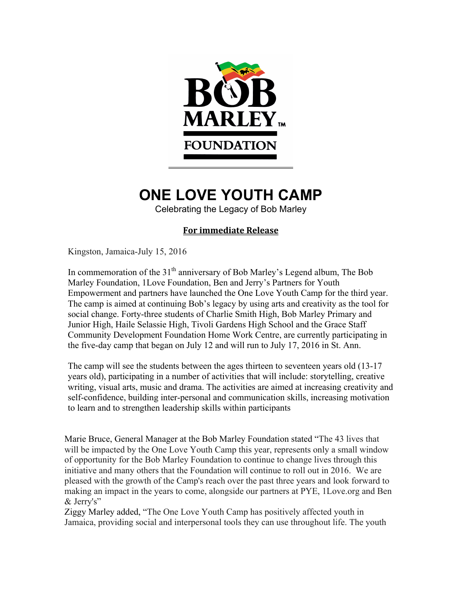

# **ONE LOVE YOUTH CAMP**

Celebrating the Legacy of Bob Marley

# **For immediate Release**

Kingston, Jamaica-July 15, 2016

In commemoration of the  $31<sup>th</sup>$  anniversary of Bob Marley's Legend album, The Bob Marley Foundation, 1Love Foundation, Ben and Jerry's Partners for Youth Empowerment and partners have launched the One Love Youth Camp for the third year. The camp is aimed at continuing Bob's legacy by using arts and creativity as the tool for social change. Forty-three students of Charlie Smith High, Bob Marley Primary and Junior High, Haile Selassie High, Tivoli Gardens High School and the Grace Staff Community Development Foundation Home Work Centre, are currently participating in the five-day camp that began on July 12 and will run to July 17, 2016 in St. Ann.

The camp will see the students between the ages thirteen to seventeen years old (13-17 years old), participating in a number of activities that will include: storytelling, creative writing, visual arts, music and drama. The activities are aimed at increasing creativity and self-confidence, building inter-personal and communication skills, increasing motivation to learn and to strengthen leadership skills within participants

Marie Bruce, General Manager at the Bob Marley Foundation stated "The 43 lives that will be impacted by the One Love Youth Camp this year, represents only a small window of opportunity for the Bob Marley Foundation to continue to change lives through this initiative and many others that the Foundation will continue to roll out in 2016. We are pleased with the growth of the Camp's reach over the past three years and look forward to making an impact in the years to come, alongside our partners at PYE, 1Love.org and Ben & Jerry's"

Ziggy Marley added, "The One Love Youth Camp has positively affected youth in Jamaica, providing social and interpersonal tools they can use throughout life. The youth